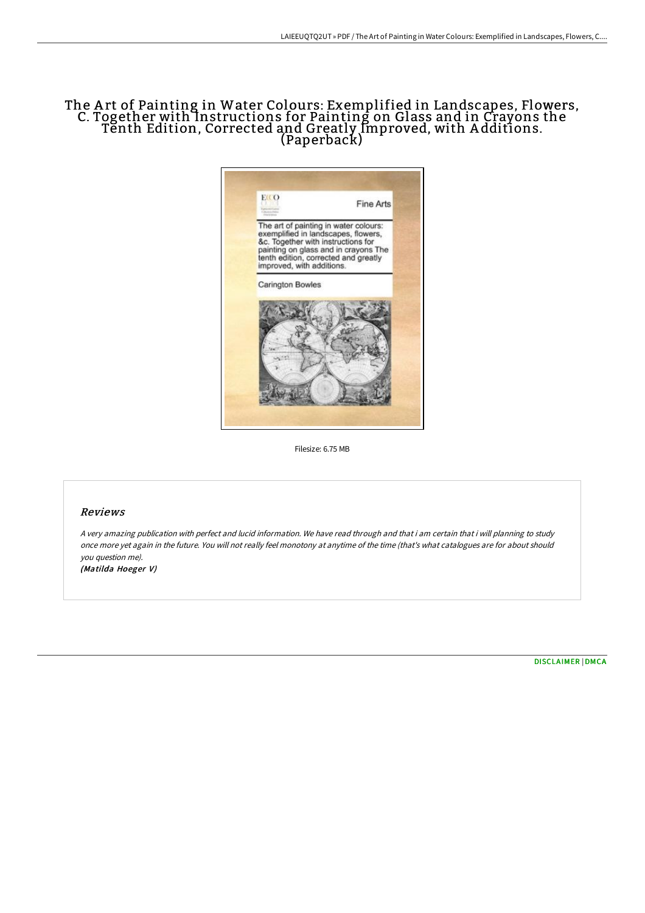## The A rt of Painting in Water Colours: Exemplified in Landscapes, Flowers, C. Together with Instructions for Painting on Glass and in Crayons the Tenth Edition, Corrected and Greatly Improved, with A dditions. (Paperback)



Filesize: 6.75 MB

## Reviews

<sup>A</sup> very amazing publication with perfect and lucid information. We have read through and that i am certain that i will planning to study once more yet again in the future. You will not really feel monotony at anytime of the time (that's what catalogues are for about should you question me).

(Matilda Hoeger V)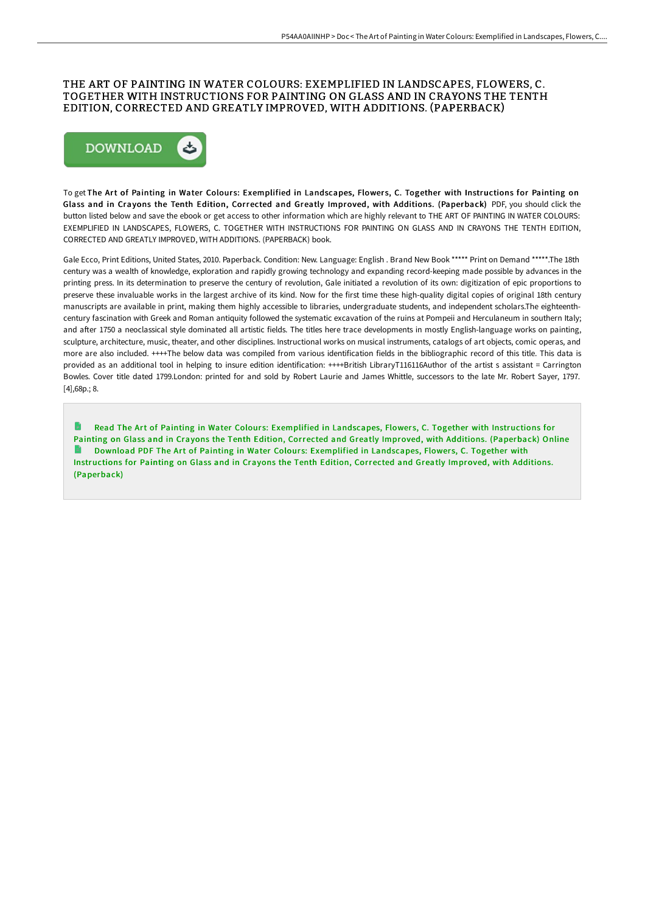## THE ART OF PAINTING IN WATER COLOURS: EXEMPLIFIED IN LANDSCAPES, FLOWERS, C. TOGETHER WITH INSTRUCTIONS FOR PAINTING ON GLASS AND IN CRAYONS THE TENTH EDITION, CORRECTED AND GREATLY IMPROVED, WITH ADDITIONS. (PAPERBACK)



To get The Art of Painting in Water Colours: Exemplified in Landscapes, Flowers, C. Together with Instructions for Painting on Glass and in Crayons the Tenth Edition, Corrected and Greatly Improved, with Additions. (Paperback) PDF, you should click the button listed below and save the ebook or get access to other information which are highly relevant to THE ART OF PAINTING IN WATER COLOURS: EXEMPLIFIED IN LANDSCAPES, FLOWERS, C. TOGETHER WITH INSTRUCTIONS FOR PAINTING ON GLASS AND IN CRAYONS THE TENTH EDITION, CORRECTED AND GREATLY IMPROVED, WITH ADDITIONS. (PAPERBACK) book.

Gale Ecco, Print Editions, United States, 2010. Paperback. Condition: New. Language: English . Brand New Book \*\*\*\*\* Print on Demand \*\*\*\*\*.The 18th century was a wealth of knowledge, exploration and rapidly growing technology and expanding record-keeping made possible by advances in the printing press. In its determination to preserve the century of revolution, Gale initiated a revolution of its own: digitization of epic proportions to preserve these invaluable works in the largest archive of its kind. Now for the first time these high-quality digital copies of original 18th century manuscripts are available in print, making them highly accessible to libraries, undergraduate students, and independent scholars.The eighteenthcentury fascination with Greek and Roman antiquity followed the systematic excavation of the ruins at Pompeii and Herculaneum in southern Italy; and after 1750 a neoclassical style dominated all artistic fields. The titles here trace developments in mostly English-language works on painting, sculpture, architecture, music, theater, and other disciplines. Instructional works on musical instruments, catalogs of art objects, comic operas, and more are also included. ++++The below data was compiled from various identification fields in the bibliographic record of this title. This data is provided as an additional tool in helping to insure edition identification: ++++British LibraryT116116Author of the artist s assistant = Carrington Bowles. Cover title dated 1799.London: printed for and sold by Robert Laurie and James Whittle, successors to the late Mr. Robert Sayer, 1797. [4],68p.; 8.

Read The Art of Painting in Water Colours: Exemplified in [Landscapes,](http://albedo.media/the-art-of-painting-in-water-colours-exemplified-1.html) Flowers, C. Together with Instructions for Painting on Glass and in Crayons the Tenth Edition, Corrected and Greatly Improved, with Additions. (Paperback) Online Download PDF The Art of Painting in Water Colours: Exemplified in [Landscapes,](http://albedo.media/the-art-of-painting-in-water-colours-exemplified-1.html) Flowers, C. Together with Instructions for Painting on Glass and in Crayons the Tenth Edition, Corrected and Greatly Improved, with Additions. (Paperback)